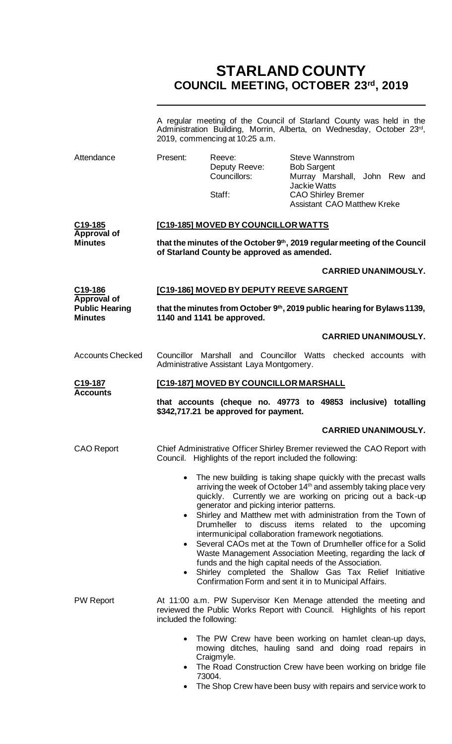# **STARLAND COUNTY COUNCIL MEETING, OCTOBER 23rd, 2019**

|                                         | A regular meeting of the Council of Starland County was held in the<br>Administration Building, Morrin, Alberta, on Wednesday, October 23rd,<br>2019, commencing at 10:25 a.m. |                                                                                                                                                                                                                                                                                                                                                                                                                                                                                                                                                                                                                                                                                                                                                       |  |
|-----------------------------------------|--------------------------------------------------------------------------------------------------------------------------------------------------------------------------------|-------------------------------------------------------------------------------------------------------------------------------------------------------------------------------------------------------------------------------------------------------------------------------------------------------------------------------------------------------------------------------------------------------------------------------------------------------------------------------------------------------------------------------------------------------------------------------------------------------------------------------------------------------------------------------------------------------------------------------------------------------|--|
| Attendance                              | Present:<br>Reeve:<br>Deputy Reeve:<br>Councillors:<br>Staff:                                                                                                                  | <b>Steve Wannstrom</b><br><b>Bob Sargent</b><br>Murray Marshall, John Rew and<br>Jackie Watts<br><b>CAO Shirley Bremer</b><br><b>Assistant CAO Matthew Kreke</b>                                                                                                                                                                                                                                                                                                                                                                                                                                                                                                                                                                                      |  |
| C19-185                                 | [C19-185] MOVED BY COUNCILLOR WATTS                                                                                                                                            |                                                                                                                                                                                                                                                                                                                                                                                                                                                                                                                                                                                                                                                                                                                                                       |  |
| Approval of<br><b>Minutes</b>           | of Starland County be approved as amended.                                                                                                                                     | that the minutes of the October 9th, 2019 regular meeting of the Council                                                                                                                                                                                                                                                                                                                                                                                                                                                                                                                                                                                                                                                                              |  |
|                                         |                                                                                                                                                                                | <b>CARRIED UNANIMOUSLY.</b>                                                                                                                                                                                                                                                                                                                                                                                                                                                                                                                                                                                                                                                                                                                           |  |
| C19-186<br><b>Approval of</b>           | [C19-186] MOVED BY DEPUTY REEVE SARGENT                                                                                                                                        |                                                                                                                                                                                                                                                                                                                                                                                                                                                                                                                                                                                                                                                                                                                                                       |  |
| <b>Public Hearing</b><br><b>Minutes</b> | 1140 and 1141 be approved.                                                                                                                                                     | that the minutes from October 9 <sup>th</sup> , 2019 public hearing for Bylaws 1139,                                                                                                                                                                                                                                                                                                                                                                                                                                                                                                                                                                                                                                                                  |  |
|                                         |                                                                                                                                                                                | <b>CARRIED UNANIMOUSLY.</b>                                                                                                                                                                                                                                                                                                                                                                                                                                                                                                                                                                                                                                                                                                                           |  |
| <b>Accounts Checked</b>                 | Councillor Marshall and Councillor Watts checked accounts with<br>Administrative Assistant Laya Montgomery.                                                                    |                                                                                                                                                                                                                                                                                                                                                                                                                                                                                                                                                                                                                                                                                                                                                       |  |
| C19-187<br><b>Accounts</b>              | [C19-187] MOVED BY COUNCILLOR MARSHALL                                                                                                                                         |                                                                                                                                                                                                                                                                                                                                                                                                                                                                                                                                                                                                                                                                                                                                                       |  |
|                                         | \$342,717.21 be approved for payment.                                                                                                                                          | that accounts (cheque no. 49773 to 49853 inclusive) totalling                                                                                                                                                                                                                                                                                                                                                                                                                                                                                                                                                                                                                                                                                         |  |
|                                         |                                                                                                                                                                                | <b>CARRIED UNANIMOUSLY.</b>                                                                                                                                                                                                                                                                                                                                                                                                                                                                                                                                                                                                                                                                                                                           |  |
| <b>CAO Report</b>                       | Highlights of the report included the following:<br>Council.                                                                                                                   | Chief Administrative Officer Shirley Bremer reviewed the CAO Report with                                                                                                                                                                                                                                                                                                                                                                                                                                                                                                                                                                                                                                                                              |  |
|                                         |                                                                                                                                                                                | The new building is taking shape quickly with the precast walls<br>arriving the week of October 14 <sup>th</sup> and assembly taking place very<br>quickly. Currently we are working on pricing out a back-up<br>generator and picking interior patterns.<br>Shirley and Matthew met with administration from the Town of<br>Drumheller to discuss items related to the upcoming<br>intermunicipal collaboration framework negotiations.<br>Several CAOs met at the Town of Drumheller office for a Solid<br>Waste Management Association Meeting, regarding the lack of<br>funds and the high capital needs of the Association.<br>Shirley completed the Shallow Gas Tax Relief Initiative<br>Confirmation Form and sent it in to Municipal Affairs. |  |
| <b>PW Report</b>                        | included the following:                                                                                                                                                        | At 11:00 a.m. PW Supervisor Ken Menage attended the meeting and<br>reviewed the Public Works Report with Council. Highlights of his report                                                                                                                                                                                                                                                                                                                                                                                                                                                                                                                                                                                                            |  |
|                                         | Craigmyle.<br>73004.                                                                                                                                                           | The PW Crew have been working on hamlet clean-up days,<br>mowing ditches, hauling sand and doing road repairs in<br>The Road Construction Crew have been working on bridge file                                                                                                                                                                                                                                                                                                                                                                                                                                                                                                                                                                       |  |

• The Shop Crew have been busy with repairs and service work to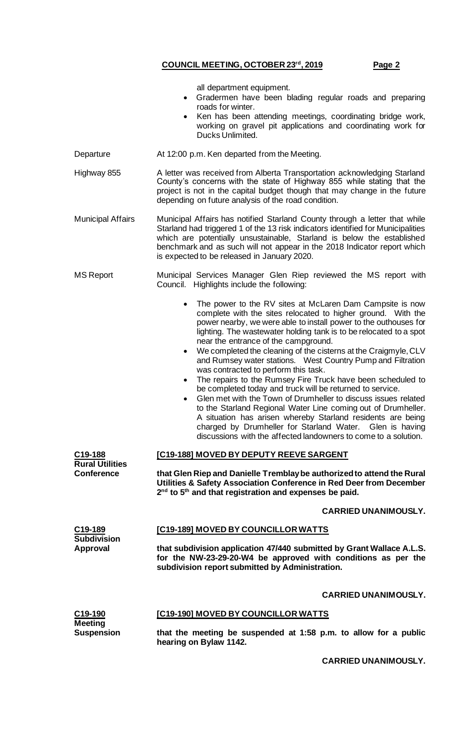| all department equipment. |  |
|---------------------------|--|
|                           |  |

- Gradermen have been blading regular roads and preparing roads for winter.
- Ken has been attending meetings, coordinating bridge work, working on gravel pit applications and coordinating work for Ducks Unlimited.
- Departure At 12:00 p.m. Ken departed from the Meeting.
- Highway 855 A letter was received from Alberta Transportation acknowledging Starland County's concerns with the state of Highway 855 while stating that the project is not in the capital budget though that may change in the future depending on future analysis of the road condition.
- Municipal Affairs Municipal Affairs has notified Starland County through a letter that while Starland had triggered 1 of the 13 risk indicators identified for Municipalities which are potentially unsustainable, Starland is below the established benchmark and as such will not appear in the 2018 Indicator report which is expected to be released in January 2020.
- MS Report Municipal Services Manager Glen Riep reviewed the MS report with Council. Highlights include the following:
	- The power to the RV sites at McLaren Dam Campsite is now complete with the sites relocated to higher ground. With the power nearby, we were able to install power to the outhouses for lighting. The wastewater holding tank is to be relocated to a spot near the entrance of the campground.
	- We completed the cleaning of the cisterns at the Craigmyle, CLV and Rumsey water stations. West Country Pump and Filtration was contracted to perform this task.
	- The repairs to the Rumsey Fire Truck have been scheduled to be completed today and truck will be returned to service.
	- Glen met with the Town of Drumheller to discuss issues related to the Starland Regional Water Line coming out of Drumheller. A situation has arisen whereby Starland residents are being charged by Drumheller for Starland Water. Glen is having discussions with the affected landowners to come to a solution.

**C19-188 Rural Utilities Conference**

**[C19-188] MOVED BY DEPUTY REEVE SARGENT**

**that Glen Riep and Danielle Tremblay be authorized to attend the Rural Utilities & Safety Association Conference in Red Deer from December 2 nd to 5th and that registration and expenses be paid.**

#### **CARRIED UNANIMOUSLY.**

#### **[C19-189] MOVED BY COUNCILLOR WATTS**

**that subdivision application 47/440 submitted by Grant Wallace A.L.S. for the NW-23-29-20-W4 be approved with conditions as per the subdivision report submitted by Administration.**

#### **CARRIED UNANIMOUSLY.**

| C19-190           | [C19-190] MOVED BY COUNCILLOR WATTS                              |
|-------------------|------------------------------------------------------------------|
| <b>Meeting</b>    |                                                                  |
| <b>Suspension</b> | that the meeting be suspended at 1:58 p.m. to allow for a public |
|                   |                                                                  |
|                   | hearing on Bylaw 1142.                                           |

**CARRIED UNANIMOUSLY.**

**C19-189 Subdivision Approval**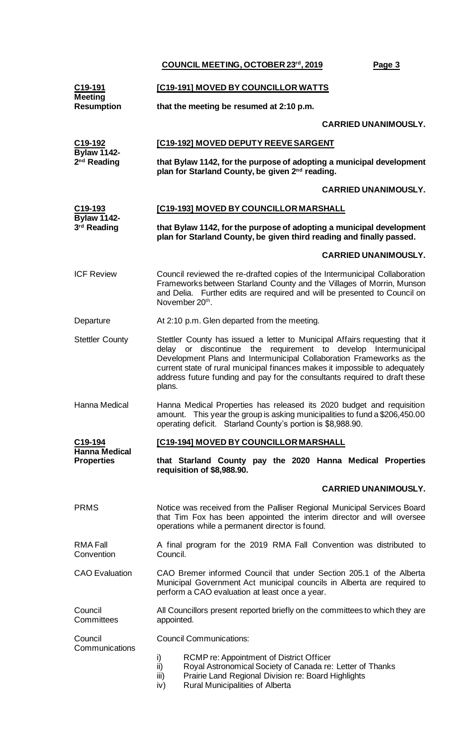| C19-191<br><b>Meeting</b>                     | [C19-191] MOVED BY COUNCILLOR WATTS                                                                                                                                                                                                                                                                                                                                                             |                                                                                                                                                                                                                                                    |  |
|-----------------------------------------------|-------------------------------------------------------------------------------------------------------------------------------------------------------------------------------------------------------------------------------------------------------------------------------------------------------------------------------------------------------------------------------------------------|----------------------------------------------------------------------------------------------------------------------------------------------------------------------------------------------------------------------------------------------------|--|
| <b>Resumption</b>                             |                                                                                                                                                                                                                                                                                                                                                                                                 | that the meeting be resumed at 2:10 p.m.                                                                                                                                                                                                           |  |
|                                               |                                                                                                                                                                                                                                                                                                                                                                                                 | <b>CARRIED UNANIMOUSLY.</b>                                                                                                                                                                                                                        |  |
| C19-192                                       |                                                                                                                                                                                                                                                                                                                                                                                                 | [C19-192] MOVED DEPUTY REEVE SARGENT                                                                                                                                                                                                               |  |
| <b>Bylaw 1142-</b><br>2 <sup>nd</sup> Reading |                                                                                                                                                                                                                                                                                                                                                                                                 | that Bylaw 1142, for the purpose of adopting a municipal development<br>plan for Starland County, be given 2 <sup>nd</sup> reading.                                                                                                                |  |
|                                               |                                                                                                                                                                                                                                                                                                                                                                                                 | <b>CARRIED UNANIMOUSLY.</b>                                                                                                                                                                                                                        |  |
| C19-193                                       |                                                                                                                                                                                                                                                                                                                                                                                                 | [C19-193] MOVED BY COUNCILLOR MARSHALL                                                                                                                                                                                                             |  |
| <b>Bylaw 1142-</b><br>3rd Reading             |                                                                                                                                                                                                                                                                                                                                                                                                 | that Bylaw 1142, for the purpose of adopting a municipal development<br>plan for Starland County, be given third reading and finally passed.                                                                                                       |  |
|                                               |                                                                                                                                                                                                                                                                                                                                                                                                 | <b>CARRIED UNANIMOUSLY.</b>                                                                                                                                                                                                                        |  |
| <b>ICF Review</b>                             |                                                                                                                                                                                                                                                                                                                                                                                                 | Council reviewed the re-drafted copies of the Intermunicipal Collaboration<br>Frameworks between Starland County and the Villages of Morrin, Munson<br>and Delia. Further edits are required and will be presented to Council on<br>November 20th. |  |
| Departure                                     |                                                                                                                                                                                                                                                                                                                                                                                                 | At 2:10 p.m. Glen departed from the meeting.                                                                                                                                                                                                       |  |
| <b>Stettler County</b>                        | Stettler County has issued a letter to Municipal Affairs requesting that it<br>or discontinue the requirement to develop Intermunicipal<br>delay<br>Development Plans and Intermunicipal Collaboration Frameworks as the<br>current state of rural municipal finances makes it impossible to adequately<br>address future funding and pay for the consultants required to draft these<br>plans. |                                                                                                                                                                                                                                                    |  |
| Hanna Medical                                 | Hanna Medical Properties has released its 2020 budget and requisition<br>amount. This year the group is asking municipalities to fund a \$206,450.00<br>operating deficit. Starland County's portion is \$8,988.90.                                                                                                                                                                             |                                                                                                                                                                                                                                                    |  |
| C19-194                                       |                                                                                                                                                                                                                                                                                                                                                                                                 | [C19-194] MOVED BY COUNCILLOR MARSHALL                                                                                                                                                                                                             |  |
| Hanna Medical<br><b>Properties</b>            |                                                                                                                                                                                                                                                                                                                                                                                                 | that Starland County pay the 2020 Hanna Medical Properties<br>requisition of \$8,988.90.                                                                                                                                                           |  |
|                                               |                                                                                                                                                                                                                                                                                                                                                                                                 | <b>CARRIED UNANIMOUSLY.</b>                                                                                                                                                                                                                        |  |
| <b>PRMS</b>                                   |                                                                                                                                                                                                                                                                                                                                                                                                 | Notice was received from the Palliser Regional Municipal Services Board<br>that Tim Fox has been appointed the interim director and will oversee<br>operations while a permanent director is found.                                                |  |
| <b>RMA Fall</b><br>Convention                 | A final program for the 2019 RMA Fall Convention was distributed to<br>Council.                                                                                                                                                                                                                                                                                                                 |                                                                                                                                                                                                                                                    |  |
| <b>CAO</b> Evaluation                         | CAO Bremer informed Council that under Section 205.1 of the Alberta<br>Municipal Government Act municipal councils in Alberta are required to<br>perform a CAO evaluation at least once a year.                                                                                                                                                                                                 |                                                                                                                                                                                                                                                    |  |
| Council<br>Committees                         | All Councillors present reported briefly on the committees to which they are<br>appointed.                                                                                                                                                                                                                                                                                                      |                                                                                                                                                                                                                                                    |  |
| Council                                       |                                                                                                                                                                                                                                                                                                                                                                                                 | <b>Council Communications:</b>                                                                                                                                                                                                                     |  |
| Communications                                | i)<br>ii)<br>iii)<br>iv)                                                                                                                                                                                                                                                                                                                                                                        | RCMP re: Appointment of District Officer<br>Royal Astronomical Society of Canada re: Letter of Thanks<br>Prairie Land Regional Division re: Board Highlights<br>Rural Municipalities of Alberta                                                    |  |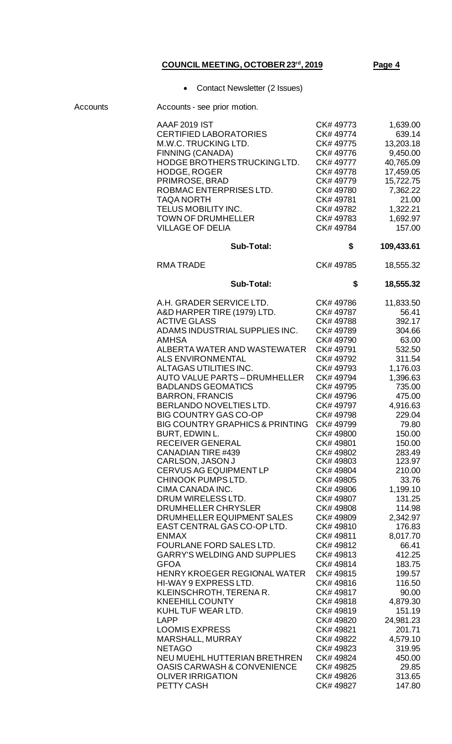• Contact Newsletter (2 Issues)

| Accounts | Accounts - see prior motion.                                                                                                                                                                                                                                                                                                                                                                                                                                                                                                                                                                                                                                                                                                                                                                                                                                                                                                                                                                                                                                                                                                                        |                                                                                                                                                                                                                                                                                                                                                                                                                                                                                                                                          |                                                                                                                                                                                                                                                                                                                                                                                                                                                 |
|----------|-----------------------------------------------------------------------------------------------------------------------------------------------------------------------------------------------------------------------------------------------------------------------------------------------------------------------------------------------------------------------------------------------------------------------------------------------------------------------------------------------------------------------------------------------------------------------------------------------------------------------------------------------------------------------------------------------------------------------------------------------------------------------------------------------------------------------------------------------------------------------------------------------------------------------------------------------------------------------------------------------------------------------------------------------------------------------------------------------------------------------------------------------------|------------------------------------------------------------------------------------------------------------------------------------------------------------------------------------------------------------------------------------------------------------------------------------------------------------------------------------------------------------------------------------------------------------------------------------------------------------------------------------------------------------------------------------------|-------------------------------------------------------------------------------------------------------------------------------------------------------------------------------------------------------------------------------------------------------------------------------------------------------------------------------------------------------------------------------------------------------------------------------------------------|
|          | <b>AAAF 2019 IST</b><br><b>CERTIFIED LABORATORIES</b><br>M.W.C. TRUCKING LTD.<br>FINNING (CANADA)<br>HODGE BROTHERS TRUCKING LTD.<br><b>HODGE, ROGER</b><br>PRIMROSE, BRAD<br>ROBMAC ENTERPRISES LTD.<br><b>TAQA NORTH</b><br>TELUS MOBILITY INC.<br><b>TOWN OF DRUMHELLER</b><br><b>VILLAGE OF DELIA</b>                                                                                                                                                                                                                                                                                                                                                                                                                                                                                                                                                                                                                                                                                                                                                                                                                                           | CK# 49773<br>CK#49774<br>CK# 49775<br>CK# 49776<br>CK# 49777<br>CK# 49778<br>CK# 49779<br>CK# 49780<br>CK#49781<br>CK# 49782<br>CK# 49783<br>CK# 49784                                                                                                                                                                                                                                                                                                                                                                                   | 1,639.00<br>639.14<br>13,203.18<br>9,450.00<br>40,765.09<br>17,459.05<br>15,722.75<br>7,362.22<br>21.00<br>1,322.21<br>1,692.97<br>157.00                                                                                                                                                                                                                                                                                                       |
|          | <b>Sub-Total:</b>                                                                                                                                                                                                                                                                                                                                                                                                                                                                                                                                                                                                                                                                                                                                                                                                                                                                                                                                                                                                                                                                                                                                   | \$                                                                                                                                                                                                                                                                                                                                                                                                                                                                                                                                       | 109,433.61                                                                                                                                                                                                                                                                                                                                                                                                                                      |
|          | <b>RMATRADE</b>                                                                                                                                                                                                                                                                                                                                                                                                                                                                                                                                                                                                                                                                                                                                                                                                                                                                                                                                                                                                                                                                                                                                     | CK# 49785                                                                                                                                                                                                                                                                                                                                                                                                                                                                                                                                | 18,555.32                                                                                                                                                                                                                                                                                                                                                                                                                                       |
|          | <b>Sub-Total:</b>                                                                                                                                                                                                                                                                                                                                                                                                                                                                                                                                                                                                                                                                                                                                                                                                                                                                                                                                                                                                                                                                                                                                   | \$                                                                                                                                                                                                                                                                                                                                                                                                                                                                                                                                       | 18,555.32                                                                                                                                                                                                                                                                                                                                                                                                                                       |
|          | A.H. GRADER SERVICE LTD.<br>A&D HARPER TIRE (1979) LTD.<br><b>ACTIVE GLASS</b><br>ADAMS INDUSTRIAL SUPPLIES INC.<br><b>AMHSA</b><br>ALBERTA WATER AND WASTEWATER<br><b>ALS ENVIRONMENTAL</b><br>ALTAGAS UTILITIES INC.<br><b>AUTO VALUE PARTS - DRUMHELLER</b><br><b>BADLANDS GEOMATICS</b><br><b>BARRON, FRANCIS</b><br>BERLANDO NOVELTIES LTD.<br><b>BIG COUNTRY GAS CO-OP</b><br><b>BIG COUNTRY GRAPHICS &amp; PRINTING</b><br>BURT, EDWIN L.<br><b>RECEIVER GENERAL</b><br>CANADIAN TIRE #439<br>CARLSON, JASON J<br><b>CERVUS AG EQUIPMENT LP</b><br>CHINOOK PUMPS LTD.<br>CIMA CANADA INC.<br>DRUM WIRELESS LTD.<br>DRUMHELLER CHRYSLER<br>DRUMHELLER EQUIPMENT SALES<br>EAST CENTRAL GAS CO-OP LTD.<br><b>ENMAX</b><br>FOURLANE FORD SALES LTD.<br><b>GARRY'S WELDING AND SUPPLIES</b><br><b>GFOA</b><br><b>HENRY KROEGER REGIONAL WATER</b><br>HI-WAY 9 EXPRESS LTD.<br>KLEINSCHROTH, TERENAR.<br><b>KNEEHILL COUNTY</b><br>KUHL TUF WEAR LTD.<br><b>LAPP</b><br><b>LOOMIS EXPRESS</b><br><b>MARSHALL, MURRAY</b><br><b>NETAGO</b><br>NEU MUEHL HUTTERIAN BRETHREN<br>OASIS CARWASH & CONVENIENCE<br><b>OLIVER IRRIGATION</b><br>PETTY CASH | CK# 49786<br>CK# 49787<br>CK# 49788<br>CK# 49789<br>CK#49790<br>CK#49791<br>CK# 49792<br>CK# 49793<br>CK#49794<br>CK#49795<br>CK# 49796<br>CK# 49797<br>CK# 49798<br>CK#49799<br>CK#49800<br>CK#49801<br>CK# 49802<br>CK# 49803<br>CK# 49804<br>CK#49805<br>CK#49806<br>CK# 49807<br>CK#49808<br>CK#49809<br>CK#49810<br>CK#49811<br>CK#49812<br>CK#49813<br>CK#49814<br>CK#49815<br>CK#49816<br>CK#49817<br>CK#49818<br>CK#49819<br>CK# 49820<br>CK#49821<br>CK# 49822<br>CK# 49823<br>CK# 49824<br>CK# 49825<br>CK# 49826<br>CK# 49827 | 11,833.50<br>56.41<br>392.17<br>304.66<br>63.00<br>532.50<br>311.54<br>1,176.03<br>1,396.63<br>735.00<br>475.00<br>4,916.63<br>229.04<br>79.80<br>150.00<br>150.00<br>283.49<br>123.97<br>210.00<br>33.76<br>1,199.10<br>131.25<br>114.98<br>2,342.97<br>176.83<br>8,017.70<br>66.41<br>412.25<br>183.75<br>199.57<br>116.50<br>90.00<br>4,879.30<br>151.19<br>24,981.23<br>201.71<br>4,579.10<br>319.95<br>450.00<br>29.85<br>313.65<br>147.80 |